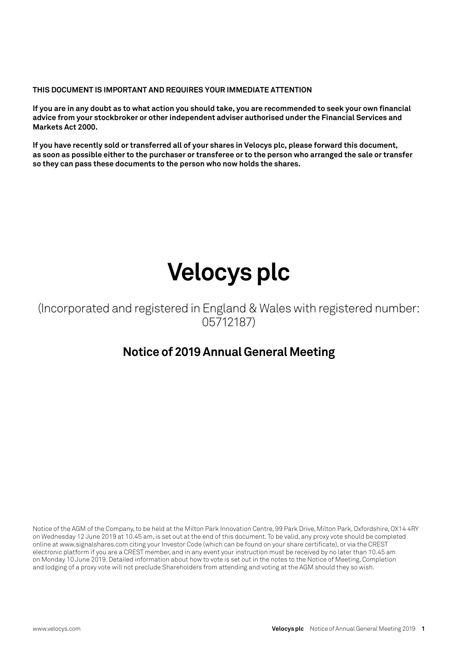### **THIS DOCUMENT IS IMPORTANT AND REQUIRES YOUR IMMEDIATE ATTENTION**

**If you are in any doubt as to what action you should take, you are recommended to seek your own financial advice from your stockbroker or other independent adviser authorised under the Financial Services and Markets Act 2000.**

**If you have recently sold or transferred all of your shares in Velocys plc, please forward this document, as soon as possible either to the purchaser or transferee or to the person who arranged the sale or transfer so they can pass these documents to the person who now holds the shares.**

# **Velocys plc**

(Incorporated and registered in England & Wales with registered number: 05712187)

### **Notice of 2019 Annual General Meeting**

Notice of the AGM of the Company, to be held at the Milton Park Innovation Centre, 99 Park Drive, Milton Park, Oxfordshire, OX14 4RY on Wednesday 12 June 2019 at 10.45 am, is set out at the end of this document. To be valid, any proxy vote should be completed online at www.signalshares.com citing your Investor Code (which can be found on your share certificate), or via the CREST electronic platform if you are a CREST member, and in any event your instruction must be received by no later than 10.45 am on Monday 10 June 2019. Detailed information about how to vote is set out in the notes to the Notice of Meeting. Completion and lodging of a proxy vote will not preclude Shareholders from attending and voting at the AGM should they so wish.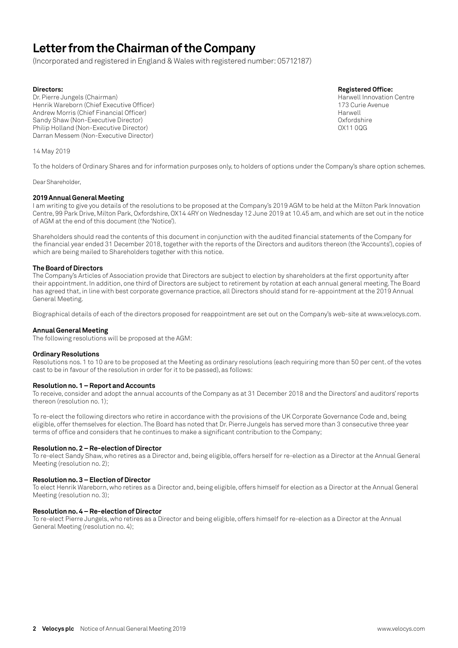### **Letter from the Chairman of the Company**

(Incorporated and registered in England & Wales with registered number: 05712187)

Dr. Pierre Jungels (Chairman)<br>Henrik Wareborn (Chief Executive Officer) National Centre Centre Centre Centre Centre Centre Centre Centre Ce<br>173 Curie Avenue Henrik Wareborn (Chief Executive Officer)<br>Andrew Morris (Chief Einancial Officer) 173 Curie Avenue Avenue Avenue Avenue Avenue Avenue Avenue Avenue Ave Andrew Morris (Chief Financial Officer) Sandy Shaw (Non-Executive Director)<br>Philip Holland (Non-Executive Director) Oxfordshire<br>OX11 00G Philip Holland (Non-Executive Director) Darran Messem (Non-Executive Director)

**Directors: Registered Office:**

14 May 2019

To the holders of Ordinary Shares and for information purposes only, to holders of options under the Company's share option schemes.

Dear Shareholder,

#### **2019 Annual General Meeting**

I am writing to give you details of the resolutions to be proposed at the Company's 2019 AGM to be held at the Milton Park Innovation Centre, 99 Park Drive, Milton Park, Oxfordshire, OX14 4RY on Wednesday 12 June 2019 at 10.45 am, and which are set out in the notice of AGM at the end of this document (the 'Notice').

Shareholders should read the contents of this document in conjunction with the audited financial statements of the Company for the financial year ended 31 December 2018, together with the reports of the Directors and auditors thereon (the 'Accounts'), copies of which are being mailed to Shareholders together with this notice.

#### **The Board of Directors**

The Company's Articles of Association provide that Directors are subject to election by shareholders at the first opportunity after their appointment. In addition, one third of Directors are subject to retirement by rotation at each annual general meeting. The Board has agreed that, in line with best corporate governance practice, all Directors should stand for re-appointment at the 2019 Annual General Meeting.

Biographical details of each of the directors proposed for reappointment are set out on the Company's web-site at www.velocys.com.

#### **Annual General Meeting**

The following resolutions will be proposed at the AGM:

#### **Ordinary Resolutions**

Resolutions nos. 1 to 10 are to be proposed at the Meeting as ordinary resolutions (each requiring more than 50 per cent. of the votes cast to be in favour of the resolution in order for it to be passed), as follows:

#### **Resolution no. 1 – Report and Accounts**

To receive, consider and adopt the annual accounts of the Company as at 31 December 2018 and the Directors' and auditors' reports thereon (resolution no. 1);

To re-elect the following directors who retire in accordance with the provisions of the UK Corporate Governance Code and, being eligible, offer themselves for election. The Board has noted that Dr. Pierre Jungels has served more than 3 consecutive three year terms of office and considers that he continues to make a significant contribution to the Company;

#### **Resolution no. 2 – Re-election of Director**

To re-elect Sandy Shaw, who retires as a Director and, being eligible, offers herself for re-election as a Director at the Annual General Meeting (resolution no. 2);

#### **Resolution no. 3 – Election of Director**

To elect Henrik Wareborn, who retires as a Director and, being eligible, offers himself for election as a Director at the Annual General Meeting (resolution no. 3);

#### **Resolution no. 4 – Re-election of Director**

To re-elect Pierre Jungels, who retires as a Director and being eligible, offers himself for re-election as a Director at the Annual General Meeting (resolution no. 4);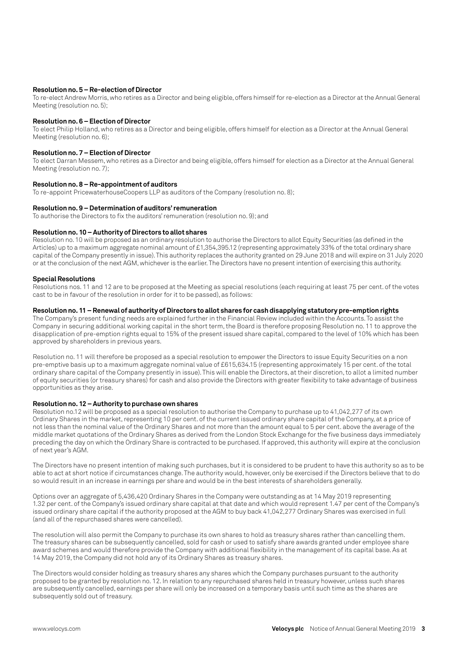#### **Resolution no. 5 – Re-election of Director**

To re-elect Andrew Morris, who retires as a Director and being eligible, offers himself for re-election as a Director at the Annual General Meeting (resolution no. 5);

#### **Resolution no. 6 – Election of Director**

To elect Philip Holland, who retires as a Director and being eligible, offers himself for election as a Director at the Annual General Meeting (resolution no. 6);

#### **Resolution no. 7 – Election of Director**

To elect Darran Messem, who retires as a Director and being eligible, offers himself for election as a Director at the Annual General Meeting (resolution no. 7);

#### **Resolution no. 8 – Re-appointment of auditors**

To re-appoint PricewaterhouseCoopers LLP as auditors of the Company (resolution no. 8);

#### **Resolution no. 9 – Determination of auditors' remuneration**

To authorise the Directors to fix the auditors' remuneration (resolution no. 9); and

#### **Resolution no. 10 – Authority of Directors to allot shares**

Resolution no. 10 will be proposed as an ordinary resolution to authorise the Directors to allot Equity Securities (as defined in the Articles) up to a maximum aggregate nominal amount of £1,354,395.12 (representing approximately 33% of the total ordinary share capital of the Company presently in issue). This authority replaces the authority granted on 29 June 2018 and will expire on 31 July 2020 or at the conclusion of the next AGM, whichever is the earlier. The Directors have no present intention of exercising this authority.

#### **Special Resolutions**

Resolutions nos. 11 and 12 are to be proposed at the Meeting as special resolutions (each requiring at least 75 per cent. of the votes cast to be in favour of the resolution in order for it to be passed), as follows:

#### **Resolution no. 11 – Renewal of authority of Directors to allot shares for cash disapplying statutory pre-emption rights**

The Company's present funding needs are explained further in the Financial Review included within the Accounts. To assist the Company in securing additional working capital in the short term, the Board is therefore proposing Resolution no. 11 to approve the disapplication of pre-emption rights equal to 15% of the present issued share capital, compared to the level of 10% which has been approved by shareholders in previous years.

Resolution no. 11 will therefore be proposed as a special resolution to empower the Directors to issue Equity Securities on a non pre-emptive basis up to a maximum aggregate nominal value of £615,634.15 (representing approximately 15 per cent. of the total ordinary share capital of the Company presently in issue). This will enable the Directors, at their discretion, to allot a limited number of equity securities (or treasury shares) for cash and also provide the Directors with greater flexibility to take advantage of business opportunities as they arise.

#### **Resolution no. 12 – Authority to purchase own shares**

Resolution no.12 will be proposed as a special resolution to authorise the Company to purchase up to 41,042,277 of its own Ordinary Shares in the market, representing 10 per cent. of the current issued ordinary share capital of the Company, at a price of not less than the nominal value of the Ordinary Shares and not more than the amount equal to 5 per cent. above the average of the middle market quotations of the Ordinary Shares as derived from the London Stock Exchange for the five business days immediately preceding the day on which the Ordinary Share is contracted to be purchased. If approved, this authority will expire at the conclusion of next year's AGM.

The Directors have no present intention of making such purchases, but it is considered to be prudent to have this authority so as to be able to act at short notice if circumstances change. The authority would, however, only be exercised if the Directors believe that to do so would result in an increase in earnings per share and would be in the best interests of shareholders generally.

Options over an aggregate of 5,436,420 Ordinary Shares in the Company were outstanding as at 14 May 2019 representing 1.32 per cent. of the Company's issued ordinary share capital at that date and which would represent 1.47 per cent of the Company's issued ordinary share capital if the authority proposed at the AGM to buy back 41,042,277 Ordinary Shares was exercised in full (and all of the repurchased shares were cancelled).

The resolution will also permit the Company to purchase its own shares to hold as treasury shares rather than cancelling them. The treasury shares can be subsequently cancelled, sold for cash or used to satisfy share awards granted under employee share award schemes and would therefore provide the Company with additional flexibility in the management of its capital base. As at 14 May 2019, the Company did not hold any of its Ordinary Shares as treasury shares.

The Directors would consider holding as treasury shares any shares which the Company purchases pursuant to the authority proposed to be granted by resolution no. 12. In relation to any repurchased shares held in treasury however, unless such shares are subsequently cancelled, earnings per share will only be increased on a temporary basis until such time as the shares are subsequently sold out of treasury.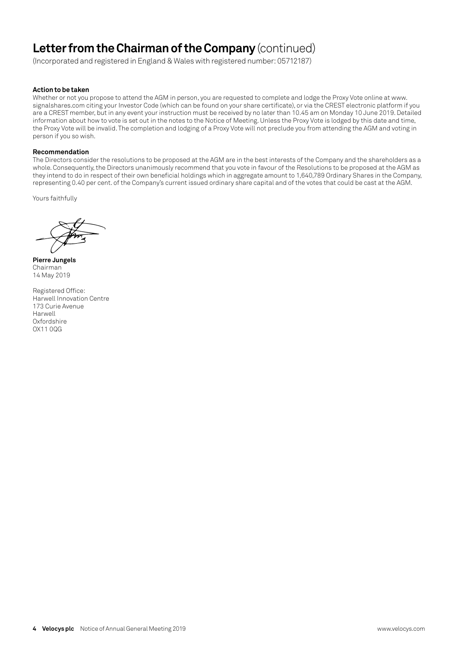## **Letter from the Chairman of the Company** (continued)

(Incorporated and registered in England & Wales with registered number: 05712187)

#### **Action to be taken**

Whether or not you propose to attend the AGM in person, you are requested to complete and lodge the Proxy Vote online at www. signalshares.com citing your Investor Code (which can be found on your share certificate), or via the CREST electronic platform if you are a CREST member, but in any event your instruction must be received by no later than 10.45 am on Monday 10 June 2019. Detailed information about how to vote is set out in the notes to the Notice of Meeting. Unless the Proxy Vote is lodged by this date and time, the Proxy Vote will be invalid. The completion and lodging of a Proxy Vote will not preclude you from attending the AGM and voting in person if you so wish.

#### **Recommendation**

The Directors consider the resolutions to be proposed at the AGM are in the best interests of the Company and the shareholders as a whole. Consequently, the Directors unanimously recommend that you vote in favour of the Resolutions to be proposed at the AGM as they intend to do in respect of their own beneficial holdings which in aggregate amount to 1,640,789 Ordinary Shares in the Company, representing 0.40 per cent. of the Company's current issued ordinary share capital and of the votes that could be cast at the AGM.

Yours faithfully

**Pierre Jungels** Chairman 14 May 2019

Registered Office: Harwell Innovation Centre 173 Curie Avenue Harwell **Oxfordshire** OX11 0QG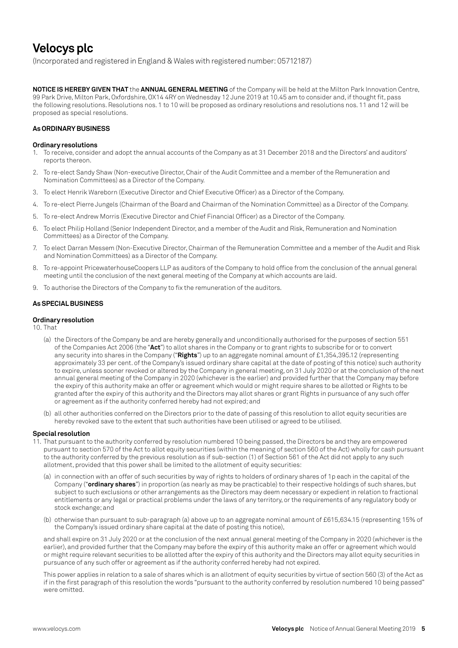### **Velocys plc**

(Incorporated and registered in England & Wales with registered number: 05712187)

**NOTICE IS HEREBY GIVEN THAT** the **ANNUAL GENERAL MEETING** of the Company will be held at the Milton Park Innovation Centre, 99 Park Drive, Milton Park, Oxfordshire, OX14 4RY on Wednesday 12 June 2019 at 10.45 am to consider and, if thought fit, pass the following resolutions. Resolutions nos. 1 to 10 will be proposed as ordinary resolutions and resolutions nos. 11 and 12 will be proposed as special resolutions.

#### **As ORDINARY BUSINESS**

#### **Ordinary resolutions**

- 1. To receive, consider and adopt the annual accounts of the Company as at 31 December 2018 and the Directors' and auditors' reports thereon.
- 2. To re-elect Sandy Shaw (Non-executive Director, Chair of the Audit Committee and a member of the Remuneration and Nomination Committees) as a Director of the Company.
- 3. To elect Henrik Wareborn (Executive Director and Chief Executive Officer) as a Director of the Company.
- 4. To re-elect Pierre Jungels (Chairman of the Board and Chairman of the Nomination Committee) as a Director of the Company.
- 5. To re-elect Andrew Morris (Executive Director and Chief Financial Officer) as a Director of the Company.
- 6. To elect Philip Holland (Senior Independent Director, and a member of the Audit and Risk, Remuneration and Nomination Committees) as a Director of the Company.
- 7. To elect Darran Messem (Non-Executive Director, Chairman of the Remuneration Committee and a member of the Audit and Risk and Nomination Committees) as a Director of the Company.
- 8. To re-appoint PricewaterhouseCoopers LLP as auditors of the Company to hold office from the conclusion of the annual general meeting until the conclusion of the next general meeting of the Company at which accounts are laid.
- 9. To authorise the Directors of the Company to fix the remuneration of the auditors.

#### **As SPECIAL BUSINESS**

#### **Ordinary resolution**

10. That

- (a) the Directors of the Company be and are hereby generally and unconditionally authorised for the purposes of section 551 of the Companies Act 2006 (the "**Act**") to allot shares in the Company or to grant rights to subscribe for or to convert any security into shares in the Company ("**Rights**") up to an aggregate nominal amount of £1,354,395.12 (representing approximately 33 per cent. of the Company's issued ordinary share capital at the date of posting of this notice) such authority to expire, unless sooner revoked or altered by the Company in general meeting, on 31 July 2020 or at the conclusion of the next annual general meeting of the Company in 2020 (whichever is the earlier) and provided further that the Company may before the expiry of this authority make an offer or agreement which would or might require shares to be allotted or Rights to be granted after the expiry of this authority and the Directors may allot shares or grant Rights in pursuance of any such offer or agreement as if the authority conferred hereby had not expired; and
- (b) all other authorities conferred on the Directors prior to the date of passing of this resolution to allot equity securities are hereby revoked save to the extent that such authorities have been utilised or agreed to be utilised.

#### **Special resolution**

- 11. That pursuant to the authority conferred by resolution numbered 10 being passed, the Directors be and they are empowered pursuant to section 570 of the Act to allot equity securities (within the meaning of section 560 of the Act) wholly for cash pursuant to the authority conferred by the previous resolution as if sub-section (1) of Section 561 of the Act did not apply to any such allotment, provided that this power shall be limited to the allotment of equity securities:
	- (a) in connection with an offer of such securities by way of rights to holders of ordinary shares of 1p each in the capital of the Company ("**ordinary shares**") in proportion (as nearly as may be practicable) to their respective holdings of such shares, but subject to such exclusions or other arrangements as the Directors may deem necessary or expedient in relation to fractional entitlements or any legal or practical problems under the laws of any territory, or the requirements of any regulatory body or stock exchange; and
	- (b) otherwise than pursuant to sub-paragraph (a) above up to an aggregate nominal amount of £615,634.15 (representing 15% of the Company's issued ordinary share capital at the date of posting this notice),

and shall expire on 31 July 2020 or at the conclusion of the next annual general meeting of the Company in 2020 (whichever is the earlier), and provided further that the Company may before the expiry of this authority make an offer or agreement which would or might require relevant securities to be allotted after the expiry of this authority and the Directors may allot equity securities in pursuance of any such offer or agreement as if the authority conferred hereby had not expired.

This power applies in relation to a sale of shares which is an allotment of equity securities by virtue of section 560 (3) of the Act as if in the first paragraph of this resolution the words "pursuant to the authority conferred by resolution numbered 10 being passed" were omitted.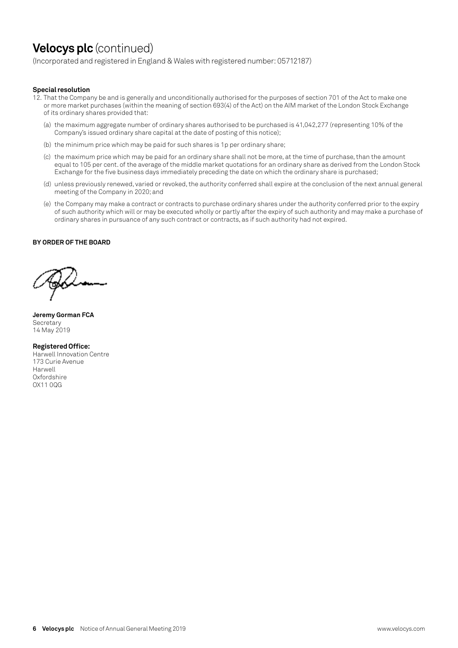### **Velocys plc** (continued)

(Incorporated and registered in England & Wales with registered number: 05712187)

#### **Special resolution**

- 12. That the Company be and is generally and unconditionally authorised for the purposes of section 701 of the Act to make one or more market purchases (within the meaning of section 693(4) of the Act) on the AIM market of the London Stock Exchange of its ordinary shares provided that:
	- (a) the maximum aggregate number of ordinary shares authorised to be purchased is 41,042,277 (representing 10% of the Company's issued ordinary share capital at the date of posting of this notice);
	- (b) the minimum price which may be paid for such shares is 1p per ordinary share;
	- (c) the maximum price which may be paid for an ordinary share shall not be more, at the time of purchase, than the amount equal to 105 per cent. of the average of the middle market quotations for an ordinary share as derived from the London Stock Exchange for the five business days immediately preceding the date on which the ordinary share is purchased;
	- (d) unless previously renewed, varied or revoked, the authority conferred shall expire at the conclusion of the next annual general meeting of the Company in 2020; and
	- (e) the Company may make a contract or contracts to purchase ordinary shares under the authority conferred prior to the expiry of such authority which will or may be executed wholly or partly after the expiry of such authority and may make a purchase of ordinary shares in pursuance of any such contract or contracts, as if such authority had not expired.

#### **BY ORDER OF THE BOARD**

**Jeremy Gorman FCA Secretary** 14 May 2019

**Registered Office:**  Harwell Innovation Centre 173 Curie Avenue Harwell **Oxfordshire** OX11 0QG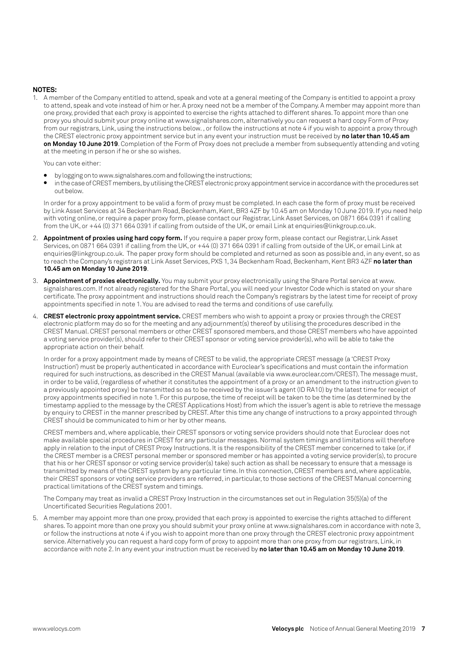#### **NOTES:**

1. A member of the Company entitled to attend, speak and vote at a general meeting of the Company is entitled to appoint a proxy to attend, speak and vote instead of him or her. A proxy need not be a member of the Company. A member may appoint more than one proxy, provided that each proxy is appointed to exercise the rights attached to different shares. To appoint more than one proxy you should submit your proxy online at www.signalshares.com, alternatively you can request a hard copy Form of Proxy from our registrars, Link, using the instructions below. , or follow the instructions at note 4 if you wish to appoint a proxy through the CREST electronic proxy appointment service but in any event your instruction must be received by **no later than 10.45 am on Monday 10 June 2019**. Completion of the Form of Proxy does not preclude a member from subsequently attending and voting at the meeting in person if he or she so wishes.

You can vote either:

- by logging on to www.signalshares.com and following the instructions;
- in the case of CREST members, by utilising the CREST electronic proxy appointment service in accordance with the procedures set out below.

In order for a proxy appointment to be valid a form of proxy must be completed. In each case the form of proxy must be received by Link Asset Services at 34 Beckenham Road, Beckenham, Kent, BR3 4ZF by 10.45 am on Monday 10 June 2019. If you need help with voting online, or require a paper proxy form, please contact our Registrar, Link Asset Services, on 0871 664 0391 if calling from the UK, or +44 (0) 371 664 0391 if calling from outside of the UK, or email Link at enquiries@linkgroup.co.uk.

- 2. **Appointment of proxies using hard copy form.** If you require a paper proxy form, please contact our Registrar, Link Asset Services, on 0871 664 0391 if calling from the UK, or +44 (0) 371 664 0391 if calling from outside of the UK, or email Link at enquiries@linkgroup.co.uk. The paper proxy form should be completed and returned as soon as possible and, in any event, so as to reach the Company's registrars at Link Asset Services, PXS 1, 34 Beckenham Road, Beckenham, Kent BR3 4ZF **no later than 10.45 am on Monday 10 June 2019**.
- 3. **Appointment of proxies electronically.** You may submit your proxy electronically using the Share Portal service at www. signalshares.com. If not already registered for the Share Portal, you will need your Investor Code which is stated on your share certificate. The proxy appointment and instructions should reach the Company's registrars by the latest time for receipt of proxy appointments specified in note 1. You are advised to read the terms and conditions of use carefully.
- 4. **CREST electronic proxy appointment service.** CREST members who wish to appoint a proxy or proxies through the CREST electronic platform may do so for the meeting and any adjournment(s) thereof by utilising the procedures described in the CREST Manual. CREST personal members or other CREST sponsored members, and those CREST members who have appointed a voting service provider(s), should refer to their CREST sponsor or voting service provider(s), who will be able to take the appropriate action on their behalf.

In order for a proxy appointment made by means of CREST to be valid, the appropriate CREST message (a 'CREST Proxy Instruction') must be properly authenticated in accordance with Euroclear's specifications and must contain the information required for such instructions, as described in the CREST Manual (available via www.euroclear.com/CREST). The message must, in order to be valid, (regardless of whether it constitutes the appointment of a proxy or an amendment to the instruction given to a previously appointed proxy) be transmitted so as to be received by the issuer's agent (ID RA10) by the latest time for receipt of proxy appointments specified in note 1. For this purpose, the time of receipt will be taken to be the time (as determined by the timestamp applied to the message by the CREST Applications Host) from which the issuer's agent is able to retrieve the message by enquiry to CREST in the manner prescribed by CREST. After this time any change of instructions to a proxy appointed through CREST should be communicated to him or her by other means.

CREST members and, where applicable, their CREST sponsors or voting service providers should note that Euroclear does not make available special procedures in CREST for any particular messages. Normal system timings and limitations will therefore apply in relation to the input of CREST Proxy Instructions. It is the responsibility of the CREST member concerned to take (or, if the CREST member is a CREST personal member or sponsored member or has appointed a voting service provider(s), to procure that his or her CREST sponsor or voting service provider(s) take) such action as shall be necessary to ensure that a message is transmitted by means of the CREST system by any particular time. In this connection, CREST members and, where applicable, their CREST sponsors or voting service providers are referred, in particular, to those sections of the CREST Manual concerning practical limitations of the CREST system and timings.

The Company may treat as invalid a CREST Proxy Instruction in the circumstances set out in Regulation 35(5)(a) of the Uncertificated Securities Regulations 2001.

5. A member may appoint more than one proxy, provided that each proxy is appointed to exercise the rights attached to different shares. To appoint more than one proxy you should submit your proxy online at www.signalshares.com in accordance with note 3, or follow the instructions at note 4 if you wish to appoint more than one proxy through the CREST electronic proxy appointment service. Alternatively you can request a hard copy form of proxy to appoint more than one proxy from our registrars, Link, in accordance with note 2. In any event your instruction must be received by **no later than 10.45 am on Monday 10 June 2019**.